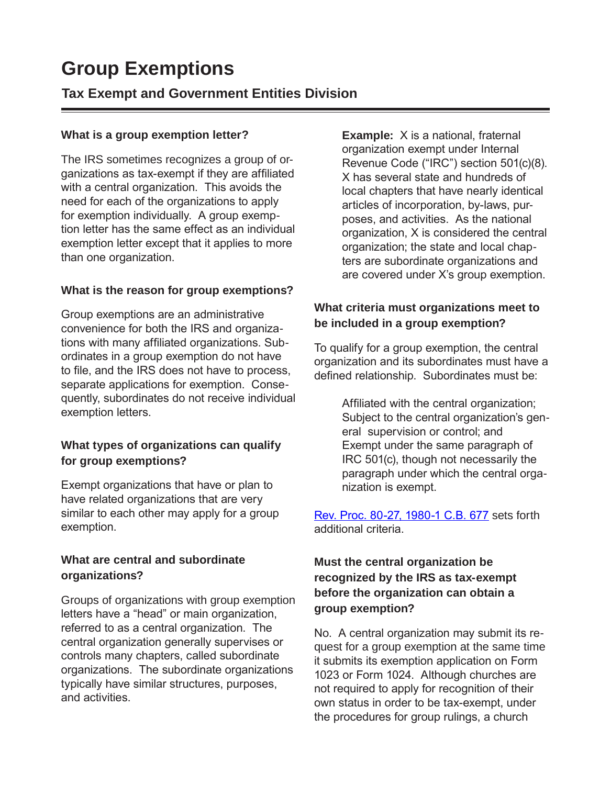# **Group Exemptions**

# **Tax Exempt and Government Entities Division**

#### **What is a group exemption letter?**

The IRS sometimes recognizes a group of organizations as tax-exempt if they are affiliated with a central organization. This avoids the need for each of the organizations to apply for exemption individually. A group exemption letter has the same effect as an individual exemption letter except that it applies to more than one organization.

#### **What is the reason for group exemptions?**

Group exemptions are an administrative convenience for both the IRS and organizations with many affiliated organizations. Subordinates in a group exemption do not have to file, and the IRS does not have to process, separate applications for exemption. Consequently, subordinates do not receive individual exemption letters.

### **What types of organizations can qualify for group exemptions?**

Exempt organizations that have or plan to have related organizations that are very similar to each other may apply for a group exemption.

#### **What are central and subordinate organizations?**

Groups of organizations with group exemption letters have a "head" or main organization, referred to as a central organization. The central organization generally supervises or controls many chapters, called subordinate organizations. The subordinate organizations typically have similar structures, purposes, and activities.

**Example:** X is a national, fraternal organization exempt under Internal Revenue Code ("IRC") section 501(c)(8). X has several state and hundreds of local chapters that have nearly identical articles of incorporation, by-laws, purposes, and activities. As the national organization, X is considered the central organization; the state and local chapters are subordinate organizations and are covered under X's group exemption.

### **What criteria must organizations meet to be included in a group exemption?**

To qualify for a group exemption, the central organization and its subordinates must have a defined relationship. Subordinates must be:

> Affiliated with the central organization; Subject to the central organization's general supervision or control; and Exempt under the same paragraph of IRC 501(c), though not necessarily the paragraph under which the central organization is exempt.

[Rev. Proc. 80-27, 1980-1 C.B. 677](http://www.irs.gov/pub/irs-tege/rp1980-27.pdf) sets forth additional criteria.

# **Must the central organization be recognized by the IRS as tax-exempt before the organization can obtain a group exemption?**

No. A central organization may submit its request for a group exemption at the same time it submits its exemption application on Form 1023 or Form 1024. Although churches are not required to apply for recognition of their own status in order to be tax-exempt, under the procedures for group rulings, a church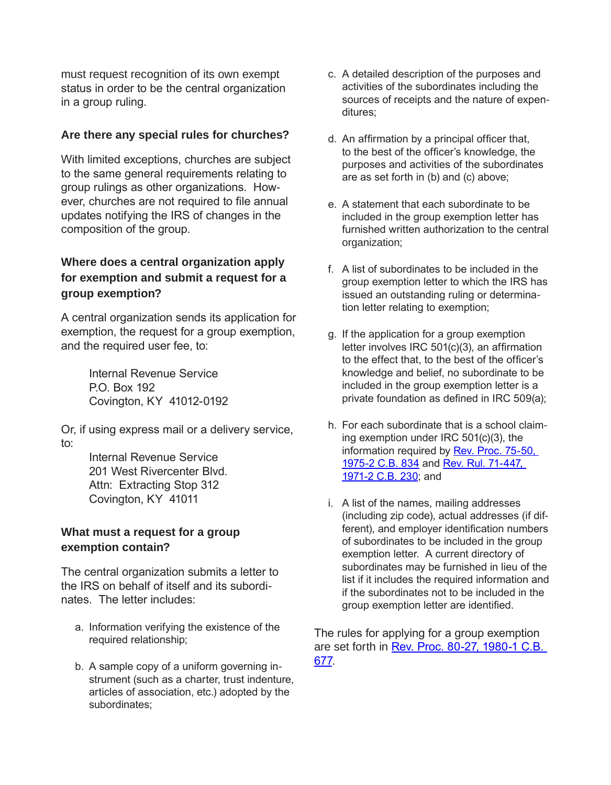must request recognition of its own exempt status in order to be the central organization in a group ruling.

#### **Are there any special rules for churches?**

With limited exceptions, churches are subject to the same general requirements relating to group rulings as other organizations. However, churches are not required to file annual updates notifying the IRS of changes in the composition of the group.

#### **Where does a central organization apply for exemption and submit a request for a group exemption?**

A central organization sends its application for exemption, the request for a group exemption, and the required user fee, to:

> Internal Revenue Service P.O. Box 192 Covington, KY 41012-0192

Or, if using express mail or a delivery service, to:

> Internal Revenue Service 201 West Rivercenter Blvd. Attn: Extracting Stop 312 Covington, KY 41011

#### **What must a request for a group exemption contain?**

The central organization submits a letter to the IRS on behalf of itself and its subordinates. The letter includes:

- a. Information verifying the existence of the required relationship;
- b. A sample copy of a uniform governing instrument (such as a charter, trust indenture, articles of association, etc.) adopted by the subordinates;
- c. A detailed description of the purposes and activities of the subordinates including the sources of receipts and the nature of expenditures;
- d. An affirmation by a principal officer that, to the best of the officer's knowledge, the purposes and activities of the subordinates are as set forth in (b) and (c) above;
- e. A statement that each subordinate to be included in the group exemption letter has furnished written authorization to the central organization;
- f. A list of subordinates to be included in the group exemption letter to which the IRS has issued an outstanding ruling or determination letter relating to exemption;
- g. If the application for a group exemption letter involves IRC 501(c)(3), an affirmation to the effect that, to the best of the officer's knowledge and belief, no subordinate to be included in the group exemption letter is a private foundation as defined in IRC 509(a);
- h. For each subordinate that is a school claiming exemption under IRC 501(c)(3), the [information required by Rev. Proc. 75-50,](http://www.irs.gov/pub/irs-tege/rp1975-50.pdf)  [1975-2 C.B. 834 and Rev. Rul. 71-447,](http://www.irs.gov/pub/irs-tege/rr71-447.pdf) 1971-2 C.B. 230; and
- i. A list of the names, mailing addresses (including zip code), actual addresses (if different), and employer identification numbers of subordinates to be included in the group exemption letter. A current directory of subordinates may be furnished in lieu of the list if it includes the required information and if the subordinates not to be included in the group exemption letter are identified.

The rules for applying for a group exemption are set forth in [Rev. Proc. 80-27, 1980-1 C.B.](http://www.irs.gov/pub/irs-tege/rp1980-27.pdf)  677.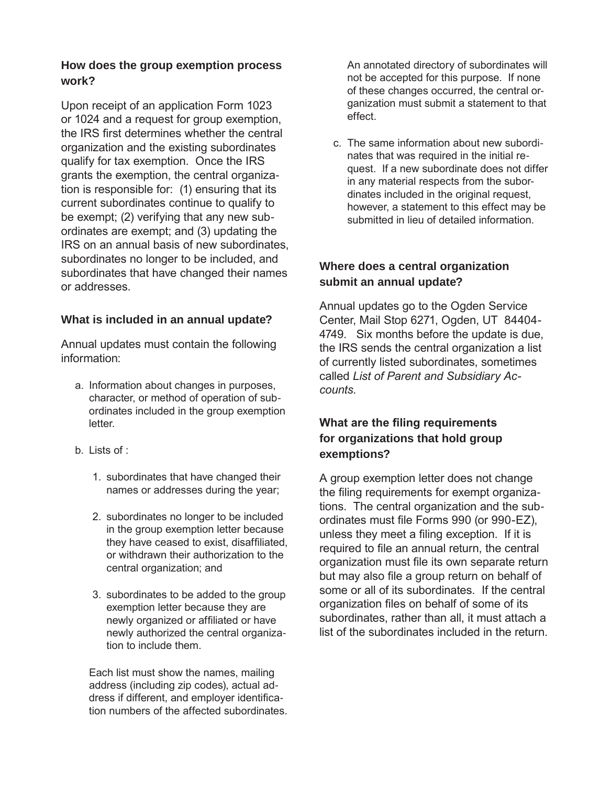#### **How does the group exemption process work?**

Upon receipt of an application Form 1023 or 1024 and a request for group exemption, the IRS first determines whether the central organization and the existing subordinates qualify for tax exemption. Once the IRS grants the exemption, the central organization is responsible for: (1) ensuring that its current subordinates continue to qualify to be exempt; (2) verifying that any new subordinates are exempt; and (3) updating the IRS on an annual basis of new subordinates, subordinates no longer to be included, and subordinates that have changed their names or addresses.

#### **What is included in an annual update?**

Annual updates must contain the following information:

- a. Information about changes in purposes, character, or method of operation of subordinates included in the group exemption letter.
- $b.$  Lists of :
	- 1. subordinates that have changed their names or addresses during the year;
	- 2. subordinates no longer to be included in the group exemption letter because they have ceased to exist, disaffiliated, or withdrawn their authorization to the central organization; and
	- 3. subordinates to be added to the group exemption letter because they are newly organized or affiliated or have newly authorized the central organization to include them.

Each list must show the names, mailing address (including zip codes), actual address if different, and employer identification numbers of the affected subordinates. An annotated directory of subordinates will not be accepted for this purpose. If none of these changes occurred, the central organization must submit a statement to that effect.

c. The same information about new subordinates that was required in the initial request. If a new subordinate does not differ in any material respects from the subordinates included in the original request, however, a statement to this effect may be submitted in lieu of detailed information.

#### **Where does a central organization submit an annual update?**

Annual updates go to the Ogden Service Center, Mail Stop 6271, Ogden, UT 84404- 4749. Six months before the update is due, the IRS sends the central organization a list of currently listed subordinates, sometimes called *List of Parent and Subsidiary Accounts*.

# **What are the filing requirements for organizations that hold group exemptions?**

A group exemption letter does not change the filing requirements for exempt organizations. The central organization and the subordinates must file Forms 990 (or 990-EZ), unless they meet a filing exception. If it is required to file an annual return, the central organization must file its own separate return but may also file a group return on behalf of some or all of its subordinates. If the central organization files on behalf of some of its subordinates, rather than all, it must attach a list of the subordinates included in the return.